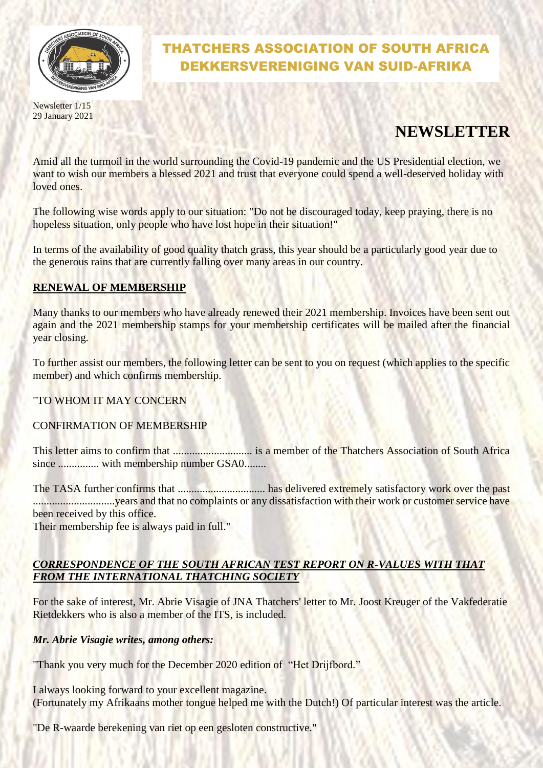

Newsletter 1/15 29 January 2021

# THATCHERS ASSOCIATION OF SOUTH AFRICA DEKKERSVERENIGING VAN SUID-AFRIKA

# **NEWSLETTER**

Amid all the turmoil in the world surrounding the Covid-19 pandemic and the US Presidential election, we want to wish our members a blessed 2021 and trust that everyone could spend a well-deserved holiday with loved ones.

The following wise words apply to our situation: "Do not be discouraged today, keep praying, there is no hopeless situation, only people who have lost hope in their situation!"

In terms of the availability of good quality thatch grass, this year should be a particularly good year due to the generous rains that are currently falling over many areas in our country.

### **RENEWAL OF MEMBERSHIP**

Many thanks to our members who have already renewed their 2021 membership. Invoices have been sent out again and the 2021 membership stamps for your membership certificates will be mailed after the financial year closing.

To further assist our members, the following letter can be sent to you on request (which applies to the specific member) and which confirms membership.

"TO WHOM IT MAY CONCERN

#### CONFIRMATION OF MEMBERSHIP

This letter aims to confirm that ............................. is a member of the Thatchers Association of South Africa since ............... with membership number GSA0........

The TASA further confirms that ................................ has delivered extremely satisfactory work over the past ..............................years and that no complaints or any dissatisfaction with their work or customer service have been received by this office.

Their membership fee is always paid in full."

## *CORRESPONDENCE OF THE SOUTH AFRICAN TEST REPORT ON R-VALUES WITH THAT FROM THE INTERNATIONAL THATCHING SOCIETY*

For the sake of interest, Mr. Abrie Visagie of JNA Thatchers' letter to Mr. Joost Kreuger of the Vakfederatie Rietdekkers who is also a member of the ITS, is included.

#### *Mr. Abrie Visagie writes, among others:*

"Thank you very much for the December 2020 edition of "Het Drijfbord."

I always looking forward to your excellent magazine. (Fortunately my Afrikaans mother tongue helped me with the Dutch!) Of particular interest was the article.

"De R-waarde berekening van riet op een gesloten constructive."